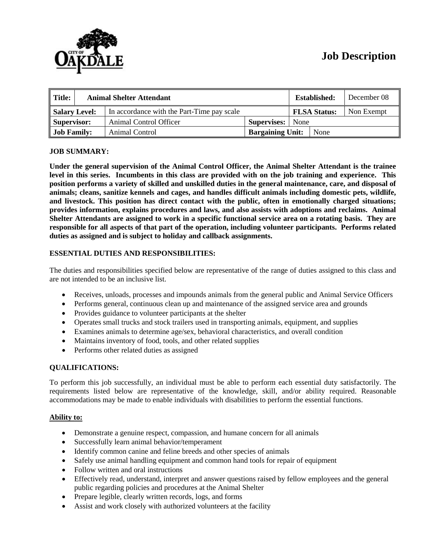

# **Job Description**

| $\parallel$ Title: | <b>Animal Shelter Attendant</b> |                                            |                         |                     | <b>Established:</b> | December 08 |
|--------------------|---------------------------------|--------------------------------------------|-------------------------|---------------------|---------------------|-------------|
| Salary Level:      |                                 | In accordance with the Part-Time pay scale |                         | <b>FLSA Status:</b> |                     | Non Exempt  |
| Supervisor:        |                                 | Animal Control Officer                     | Supervises:             | None                |                     |             |
| <b>Job Family:</b> |                                 | Animal Control                             | <b>Bargaining Unit:</b> |                     | None                |             |

# **JOB SUMMARY:**

**Under the general supervision of the Animal Control Officer, the Animal Shelter Attendant is the trainee level in this series. Incumbents in this class are provided with on the job training and experience. This position performs a variety of skilled and unskilled duties in the general maintenance, care, and disposal of animals; cleans, sanitize kennels and cages, and handles difficult animals including domestic pets, wildlife, and livestock. This position has direct contact with the public, often in emotionally charged situations; provides information, explains procedures and laws, and also assists with adoptions and reclaims. Animal Shelter Attendants are assigned to work in a specific functional service area on a rotating basis. They are responsible for all aspects of that part of the operation, including volunteer participants. Performs related duties as assigned and is subject to holiday and callback assignments.**

# **ESSENTIAL DUTIES AND RESPONSIBILITIES:**

The duties and responsibilities specified below are representative of the range of duties assigned to this class and are not intended to be an inclusive list.

- Receives, unloads, processes and impounds animals from the general public and Animal Service Officers
- Performs general, continuous clean up and maintenance of the assigned service area and grounds
- Provides guidance to volunteer participants at the shelter
- Operates small trucks and stock trailers used in transporting animals, equipment, and supplies
- Examines animals to determine age/sex, behavioral characteristics, and overall condition
- Maintains inventory of food, tools, and other related supplies
- Performs other related duties as assigned

#### **QUALIFICATIONS:**

To perform this job successfully, an individual must be able to perform each essential duty satisfactorily. The requirements listed below are representative of the knowledge, skill, and/or ability required. Reasonable accommodations may be made to enable individuals with disabilities to perform the essential functions.

#### **Ability to:**

- Demonstrate a genuine respect, compassion, and humane concern for all animals
- Successfully learn animal behavior/temperament
- Identify common canine and feline breeds and other species of animals
- Safely use animal handling equipment and common hand tools for repair of equipment
- Follow written and oral instructions
- Effectively read, understand, interpret and answer questions raised by fellow employees and the general public regarding policies and procedures at the Animal Shelter
- Prepare legible, clearly written records, logs, and forms
- Assist and work closely with authorized volunteers at the facility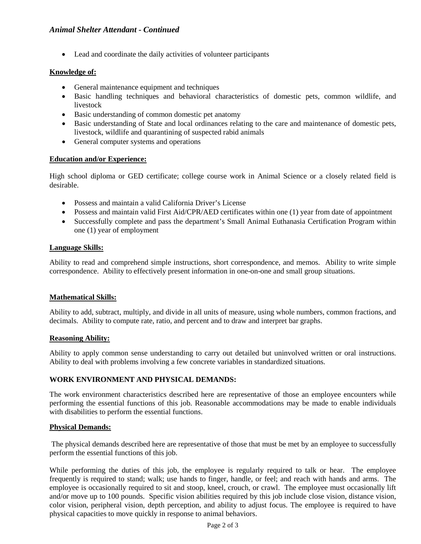• Lead and coordinate the daily activities of volunteer participants

# **Knowledge of:**

- General maintenance equipment and techniques
- Basic handling techniques and behavioral characteristics of domestic pets, common wildlife, and livestock
- Basic understanding of common domestic pet anatomy
- Basic understanding of State and local ordinances relating to the care and maintenance of domestic pets, livestock, wildlife and quarantining of suspected rabid animals
- General computer systems and operations

# **Education and/or Experience:**

High school diploma or GED certificate; college course work in Animal Science or a closely related field is desirable.

- Possess and maintain a valid California Driver's License
- Possess and maintain valid First Aid/CPR/AED certificates within one (1) year from date of appointment
- Successfully complete and pass the department's Small Animal Euthanasia Certification Program within one (1) year of employment

# **Language Skills:**

Ability to read and comprehend simple instructions, short correspondence, and memos. Ability to write simple correspondence. Ability to effectively present information in one-on-one and small group situations.

# **Mathematical Skills:**

Ability to add, subtract, multiply, and divide in all units of measure, using whole numbers, common fractions, and decimals. Ability to compute rate, ratio, and percent and to draw and interpret bar graphs.

# **Reasoning Ability:**

Ability to apply common sense understanding to carry out detailed but uninvolved written or oral instructions. Ability to deal with problems involving a few concrete variables in standardized situations.

# **WORK ENVIRONMENT AND PHYSICAL DEMANDS:**

The work environment characteristics described here are representative of those an employee encounters while performing the essential functions of this job. Reasonable accommodations may be made to enable individuals with disabilities to perform the essential functions.

# **Physical Demands:**

The physical demands described here are representative of those that must be met by an employee to successfully perform the essential functions of this job.

While performing the duties of this job, the employee is regularly required to talk or hear. The employee frequently is required to stand; walk; use hands to finger, handle, or feel; and reach with hands and arms. The employee is occasionally required to sit and stoop, kneel, crouch, or crawl. The employee must occasionally lift and/or move up to 100 pounds. Specific vision abilities required by this job include close vision, distance vision, color vision, peripheral vision, depth perception, and ability to adjust focus. The employee is required to have physical capacities to move quickly in response to animal behaviors.